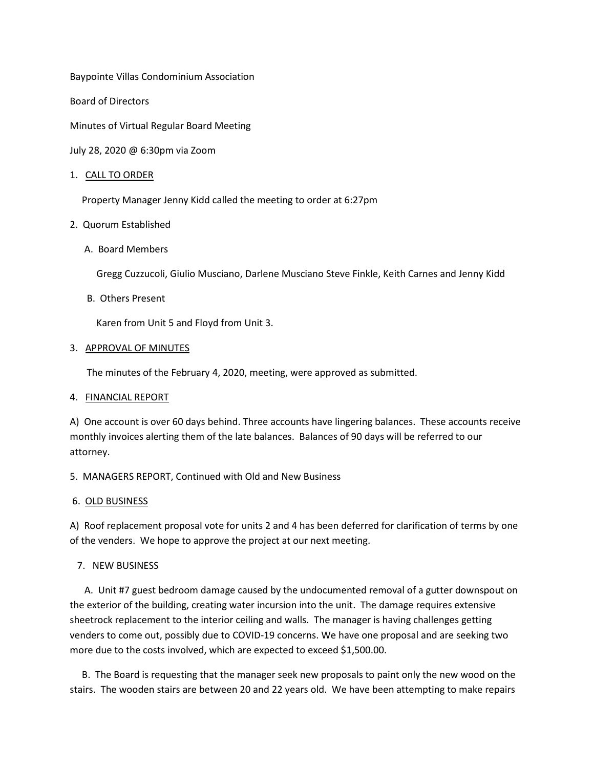Baypointe Villas Condominium Association

Board of Directors

Minutes of Virtual Regular Board Meeting

July 28, 2020 @ 6:30pm via Zoom

### 1. CALL TO ORDER

Property Manager Jenny Kidd called the meeting to order at 6:27pm

## 2. Quorum Established

A. Board Members

Gregg Cuzzucoli, Giulio Musciano, Darlene Musciano Steve Finkle, Keith Carnes and Jenny Kidd

B. Others Present

Karen from Unit 5 and Floyd from Unit 3.

### 3. APPROVAL OF MINUTES

The minutes of the February 4, 2020, meeting, were approved as submitted.

### 4. FINANCIAL REPORT

A) One account is over 60 days behind. Three accounts have lingering balances. These accounts receive monthly invoices alerting them of the late balances. Balances of 90 days will be referred to our attorney.

5. MANAGERS REPORT, Continued with Old and New Business

# 6. OLD BUSINESS

A) Roof replacement proposal vote for units 2 and 4 has been deferred for clarification of terms by one of the venders. We hope to approve the project at our next meeting.

# 7. NEW BUSINESS

 A. Unit #7 guest bedroom damage caused by the undocumented removal of a gutter downspout on the exterior of the building, creating water incursion into the unit. The damage requires extensive sheetrock replacement to the interior ceiling and walls. The manager is having challenges getting venders to come out, possibly due to COVID-19 concerns. We have one proposal and are seeking two more due to the costs involved, which are expected to exceed \$1,500.00.

 B. The Board is requesting that the manager seek new proposals to paint only the new wood on the stairs. The wooden stairs are between 20 and 22 years old. We have been attempting to make repairs